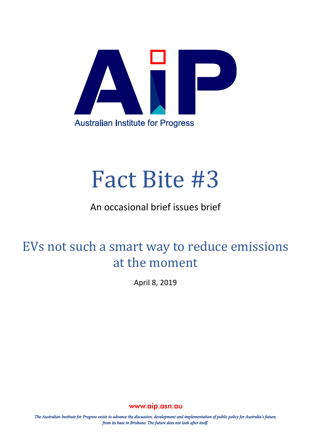

# Fact Bite #3

### An occasional brief issues brief

## EVs not such a smart way to reduce emissions at the moment

April 8, 2019

www.aip.asn.au

The Australian Institute for Progress exists to advance the discussion, development and implementation of public policy for Australia's future, from its base in Brisbane. The future does not look after itself.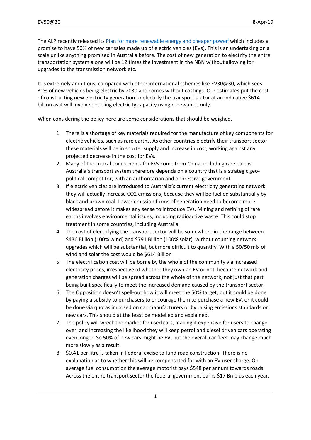The ALP recently released its [Plan for more renewable energy and cheaper power](https://www.laborsclimatechangeactionplan.org.au/)<sup>i</sup> which includes a promise to have 50% of new car sales made up of electric vehicles (EVs). This is an undertaking on a scale unlike anything promised in Australia before. The cost of new generation to electrify the entre transportation system alone will be 12 times the investment in the NBN without allowing for upgrades to the transmission network etc.

It is extremely ambitious, compared with other international schemes like EV30@30, which sees 30% of new vehicles being electric by 2030 and comes without costings. Our estimates put the cost of constructing new electricity generation to electrify the transport sector at an indicative \$614 billion as it will involve doubling electricity capacity using renewables only.

When considering the policy here are some considerations that should be weighed.

- 1. There is a shortage of key materials required for the manufacture of key components for electric vehicles, such as rare earths. As other countries electrify their transport sector these materials will be in shorter supply and increase in cost, working against any projected decrease in the cost for EVs.
- 2. Many of the critical components for EVs come from China, including rare earths. Australia's transport system therefore depends on a country that is a strategic geopolitical competitor, with an authoritarian and oppressive government.
- 3. If electric vehicles are introduced to Australia's current electricity generating network they will actually increase CO2 emissions, because they will be fuelled substantially by black and brown coal. Lower emission forms of generation need to become more widespread before it makes any sense to introduce EVs. Mining and refining of rare earths involves environmental issues, including radioactive waste. This could stop treatment in some countries, including Australia.
- 4. The cost of electrifying the transport sector will be somewhere in the range between \$436 Billion (100% wind) and \$791 Billion (100% solar), without counting network upgrades which will be substantial, but more difficult to quantify. With a 50/50 mix of wind and solar the cost would be \$614 Billion
- 5. The electrification cost will be borne by the whole of the community via increased electricity prices, irrespective of whether they own an EV or not, because network and generation charges will be spread across the whole of the network, not just that part being built specifically to meet the increased demand caused by the transport sector.
- 6. The Opposition doesn't spell-out how it will meet the 50% target, but it could be done by paying a subsidy to purchasers to encourage them to purchase a new EV, or it could be done via quotas imposed on car manufacturers or by raising emissions standards on new cars. This should at the least be modelled and explained.
- 7. The policy will wreck the market for used cars, making it expensive for users to change over, and increasing the likelihood they will keep petrol and diesel driven cars operating even longer. So 50% of new cars might be EV, but the overall car fleet may change much more slowly as a result.
- 8. \$0.41 per litre is taken in Federal excise to fund road construction. There is no explanation as to whether this will be compensated for with an EV user charge. On average fuel consumption the average motorist pays \$548 per annum towards roads. Across the entire transport sector the federal government earns \$17 Bn plus each year.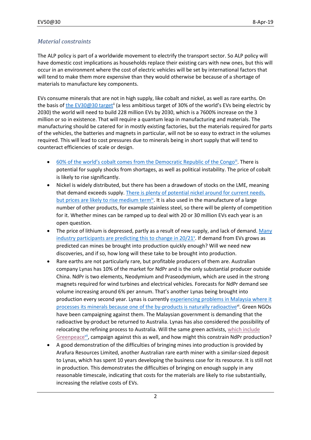#### *Material constraints*

The ALP policy is part of a worldwide movement to electrify the transport sector. So ALP policy will have domestic cost implications as households replace their existing cars with new ones, but this will occur in an environment where the cost of electric vehicles will be set by international factors that will tend to make them more expensive than they would otherwise be because of a shortage of materials to manufacture key components.

EVs consume minerals that are not in high supply, like cobalt and nickel, as well as rare earths. On the basis o[f the EV30@30 target](https://www.iea.org/media/topics/transport/3030CampaignDocumentFinal.pdf)<sup>ii</sup> (a less ambitious target of 30% of the world's EVs being electric by 2030) the world will need to build 228 million EVs by 2030, which is a 7600% increase on the 3 million or so in existence. That will require a quantum leap in manufacturing and materials. The manufacturing should be catered for in mostly existing factories, but the materials required for parts of the vehicles, the batteries and magnets in particular, will not be so easy to extract in the volumes required. This will lead to cost pressures due to minerals being in short supply that will tend to counteract efficiencies of scale or design.

- $\bullet$  [60% of the world's cobalt comes from the Democratic Republic of the Congo](https://www.globalenergymetals.com/cobalt/cobalt-supply/)<sup>iii</sup>. There is potential for supply shocks from shortages, as well as political instability. The price of cobalt is likely to rise significantly.
- Nickel is widely distributed, but there has been a drawdown of stocks on the LME, meaning that demand exceeds supply. [There is plenty of potential nickel around for current needs,](https://investingnews.com/daily/resource-investing/base-metals-investing/nickel-investing/nickel-outlook-price-gains/)  [but prices are likely to rise medium term](https://investingnews.com/daily/resource-investing/base-metals-investing/nickel-investing/nickel-outlook-price-gains/)<sup>iv</sup>. It is also used in the manufacture of a large number of other products, for example stainless steel, so there will be plenty of competition for it. Whether mines can be ramped up to deal with 20 or 30 million EVs each year is an open question.
- The price of lithium is depressed, partly as a result of new supply, and lack of demand. Many [industry participants are predicting this to change in 20/21](https://investingnews.com/daily/resource-investing/battery-metals-investing/lithium-investing/lithium-outlook/)<sup>v</sup>. If demand from EVs grows as predicted can mines be brought into production quickly enough? Will we need new discoveries, and if so, how long will these take to be brought into production.
- Rare earths are not particularly rare, but profitable producers of them are. Australian company Lynas has 10% of the market for NdPr and is the only substantial producer outside China. NdPr is two elements, Neodymium and Praseodymium, which are used in the strong magnets required for wind turbines and electrical vehicles. Forecasts for NdPr demand see volume increasing around 6% per annum. That's another Lynas being brought into production every second year. Lynas is currently [experiencing problems in Malaysia where it](https://www.smh.com.au/business/companies/malaysian-pm-adds-to-woes-for-aussie-miner-lynas-20190406-p51bgk.html)  [processes its minerals because one of the by-products is naturally radioactive](https://www.smh.com.au/business/companies/malaysian-pm-adds-to-woes-for-aussie-miner-lynas-20190406-p51bgk.html)<sup>vi</sup>. Green NGOs have been campaigning against them. The Malaysian government is demanding that the radioactive by-product be returned to Australia. Lynas has also considered the possibility of relocating the refining process to Australia. Will the same green activists, [which include](http://www.greenpeace.org/seasia/Press-Centre/publications/Report-Lynas/) [Greenpeace](http://www.greenpeace.org/seasia/Press-Centre/publications/Report-Lynas/)<sup>vii</sup>, campaign against this as well, and how might this constrain NdPr production?
- A good demonstration of the difficulties of bringing mines into production is provided by Arafura Resources Limited, another Australian rare earth miner with a similar-sized deposit to Lynas, which has spent 10 years developing the business case for its resource. It is still not in production. This demonstrates the difficulties of bringing on enough supply in any reasonable timescale, indicating that costs for the materials are likely to rise substantially, increasing the relative costs of EVs.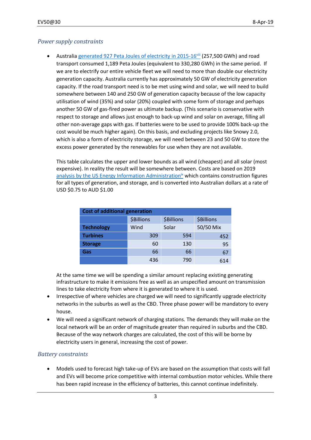#### *Power supply constraints*

Australia generated [927 Peta Joules of electricity in 2015-16](https://www.energy.gov.au/sites/g/files/net3411/f/energy-update-report-2017.pdf)viii (257,500 GWh) and road transport consumed 1,189 Peta Joules (equivalent to 330,280 GWh) in the same period. If we are to electrify our entire vehicle fleet we will need to more than double our electricity generation capacity. Australia currently has approximately 50 GW of electricity generation capacity. If the road transport need is to be met using wind and solar, we will need to build somewhere between 140 and 250 GW of generation capacity because of the low capacity utilisation of wind (35%) and solar (20%) coupled with some form of storage and perhaps another 50 GW of gas-fired power as ultimate backup. (This scenario is conservative with respect to storage and allows just enough to back-up wind and solar on average, filling all other non-average gaps with gas. If batteries were to be used to provide 100% back-up the cost would be much higher again). On this basis, and excluding projects like Snowy 2.0, which is also a form of electricity storage, we will need between 23 and 50 GW to store the excess power generated by the renewables for use when they are not available.

This table calculates the upper and lower bounds as all wind (cheapest) and all solar (most expensive). In reality the result will be somewhere between. Costs are based on 2019 [analysis by the US Energy Information Administration](https://www.eia.gov/outlooks/aeo/assumptions/pdf/table_8.2.pdf)<sup>ix</sup> which contains construction figures for all types of generation, and storage, and is converted into Australian dollars at a rate of USD \$0.75 to AUD \$1.00

| <b>Cost of additional generation</b> |                   |                   |                   |
|--------------------------------------|-------------------|-------------------|-------------------|
|                                      | <b>\$Billions</b> | <b>\$Billions</b> | <b>\$Billions</b> |
| <b>Technology</b>                    | Wind              | Solar             | 50/50 Mix         |
| <b>Turbines</b>                      | 309               | 594               | 452               |
| <b>Storage</b>                       | 60                | 130               | 95                |
| Gas                                  | 66                | 66                | 67                |
|                                      | 436               | 790               | 614               |

At the same time we will be spending a similar amount replacing existing generating infrastructure to make it emissions free as well as an unspecified amount on transmission lines to take electricity from where it is generated to where it is used.

- Irrespective of where vehicles are charged we will need to significantly upgrade electricity networks in the suburbs as well as the CBD. Three phase power will be mandatory to every house.
- We will need a significant network of charging stations. The demands they will make on the local network will be an order of magnitude greater than required in suburbs and the CBD. Because of the way network charges are calculated, the cost of this will be borne by electricity users in general, increasing the cost of power.

#### *Battery constraints*

 Models used to forecast high take-up of EVs are based on the assumption that costs will fall and EVs will become price competitive with internal combustion motor vehicles. While there has been rapid increase in the efficiency of batteries, this cannot continue indefinitely.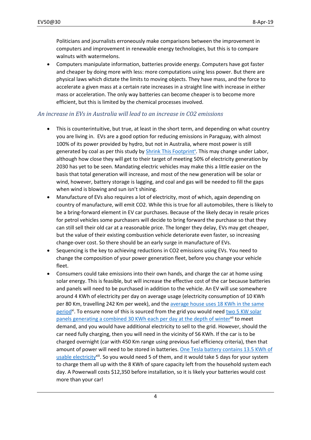Politicians and journalists erroneously make comparisons between the improvement in computers and improvement in renewable energy technologies, but this is to compare walnuts with watermelons.

 Computers manipulate information, batteries provide energy. Computers have got faster and cheaper by doing more with less: more computations using less power. But there are physical laws which dictate the limits to moving objects. They have mass, and the force to accelerate a given mass at a certain rate increases in a straight line with increase in either mass or acceleration. The only way batteries can become cheaper is to become more efficient, but this is limited by the chemical processes involved.

#### *An increase in EVs in Australia will lead to an increase in CO2 emissions*

- This is counterintuitive, but true, at least in the short term, and depending on what country you are living in. EVs are a good option for reducing emissions in Paraguay, with almost 100% of its power provided by hydro, but not in Australia, where most power is still generated by coal as per this study by **Shrink This Footprint<sup>x</sup></u>.** This may change under Labor, although how close they will get to their target of meeting 50% of electricity generation by 2030 has yet to be seen. Mandating electric vehicles may make this a little easier on the basis that total generation will increase, and most of the new generation will be solar or wind, however, battery storage is lagging, and coal and gas will be needed to fill the gaps when wind is blowing and sun isn't shining.
- Manufacture of EVs also requires a lot of electricity, most of which, again depending on country of manufacture, will emit CO2. While this is true for all automobiles, there is likely to be a bring-forward element in EV car purchases. Because of the likely decay in resale prices for petrol vehicles some purchasers will decide to bring forward the purchase so that they can still sell their old car at a reasonable price. The longer they delay, EVs may get cheaper, but the value of their existing combustion vehicle deteriorate even faster, so increasing change-over cost. So there should be an early surge in manufacture of EVs.
- Sequencing is the key to achieving reductions in CO2 emissions using EVs. You need to change the composition of your power generation fleet, before you change your vehicle fleet.
- Consumers could take emissions into their own hands, and charge the car at home using solar energy. This is feasible, but will increase the effective cost of the car because batteries and panels will need to be purchased in addition to the vehicle. An EV will use somewhere around 4 KWh of electricity per day on average usage (electricity consumption of 10 KWh per 80 Km, travelling 242 Km per week), and the [average house uses 18 KWh in the same](https://abcdiamond.com.au/average-household-electricity-consumption/)  [period](https://abcdiamond.com.au/average-household-electricity-consumption/)<sup>xi</sup>. To ensure none of this is sourced from the grid you would need two 5 KW solar [panels generating a combined 30 KWh each per day at the depth of winter](https://www.solarchoice.net.au/blog/5kw-solar-system-price-output-return/)x<sup>ii</sup> to meet demand, and you would have additional electricity to sell to the grid. However, should the car need fully charging, then you will need in the vicinity of 56 KWh. If the car is to be charged overnight (car with 450 Km range using previous fuel efficiency criteria), then that amount of power will need to be stored in batteries[. One Tesla battery contains 13.5](https://www.tesla.com/en_AU/powerwall) KWh of [usable electricity](https://www.tesla.com/en_AU/powerwall)<sup>xiii</sup>. So you would need 5 of them, and it would take 5 days for your system to charge them all up with the 8 KWh of spare capacity left from the household system each day. A Powerwall costs \$12,350 before installation, so it is likely your batteries would cost more than your car!